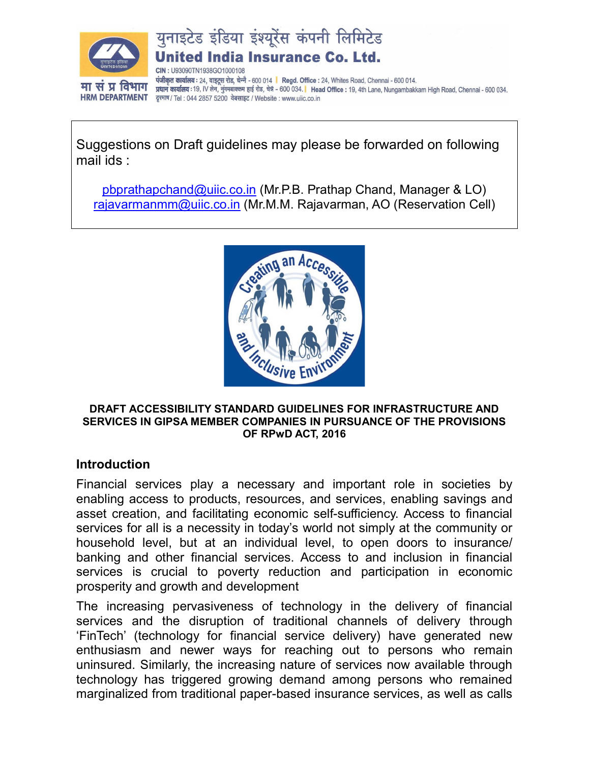

युनाइटेड इंडिया इंश्यूरेंस कंपनी लिमिटेड ed India Insurance Co. Ltd.

LI93090TN1938GO1000108 पंजीकृत कार्यालय: 24, वाइटूस रोड, चेन्नै - 600 014 | Regd. Office : 24, Whites Road, Chennai - 600 014. प्रधान कार्यालय : 19, IV लेन, नुंगमबाक्कम हाई रोड, चेन्ने - 600 034. | Head Office : 19, 4th Lane, Nungambakkam High Road, Chennai - 600 034. दृश्माष / Tel : 044 2857 5200 वेबसाइट / Website : www.uiic.co.in

Suggestions on Draft guidelines may please be forwarded on following mail ids :

pbprathapchand@uiic.co.in (Mr.P.B. Prathap Chand, Manager & LO) rajavarmanmm@uiic.co.in (Mr.M.M. Rajavarman, AO (Reservation Cell)



#### DRAFT ACCESSIBILITY STANDARD GUIDELINES FOR INFRASTRUCTURE AND SERVICES IN GIPSA MEMBER COMPANIES IN PURSUANCE OF THE PROVISIONS OF RPwD ACT, 2016

#### Introduction

Financial services play a necessary and important role in societies by enabling access to products, resources, and services, enabling savings and asset creation, and facilitating economic self-sufficiency. Access to financial services for all is a necessity in today's world not simply at the community or household level, but at an individual level, to open doors to insurance/ banking and other financial services. Access to and inclusion in financial services is crucial to poverty reduction and participation in economic prosperity and growth and development

The increasing pervasiveness of technology in the delivery of financial services and the disruption of traditional channels of delivery through 'FinTech' (technology for financial service delivery) have generated new enthusiasm and newer ways for reaching out to persons who remain uninsured. Similarly, the increasing nature of services now available through technology has triggered growing demand among persons who remained marginalized from traditional paper-based insurance services, as well as calls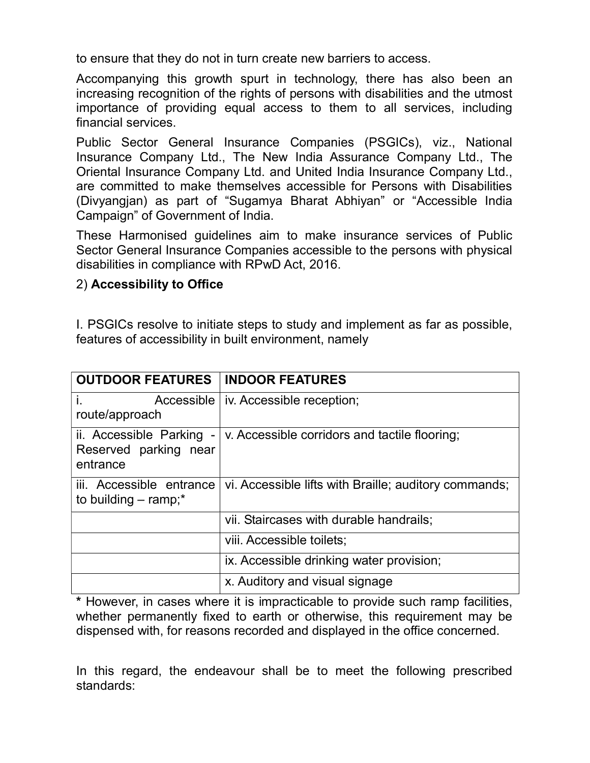to ensure that they do not in turn create new barriers to access.

Accompanying this growth spurt in technology, there has also been an increasing recognition of the rights of persons with disabilities and the utmost importance of providing equal access to them to all services, including financial services.

Public Sector General Insurance Companies (PSGICs), viz., National Insurance Company Ltd., The New India Assurance Company Ltd., The Oriental Insurance Company Ltd. and United India Insurance Company Ltd., are committed to make themselves accessible for Persons with Disabilities (Divyangjan) as part of "Sugamya Bharat Abhiyan" or "Accessible India Campaign" of Government of India.

These Harmonised guidelines aim to make insurance services of Public Sector General Insurance Companies accessible to the persons with physical disabilities in compliance with RPwD Act, 2016.

#### 2) Accessibility to Office

I. PSGICs resolve to initiate steps to study and implement as far as possible, features of accessibility in built environment, namely

| <b>OUTDOOR FEATURES</b>                                        | <b>INDOOR FEATURES</b>                                |
|----------------------------------------------------------------|-------------------------------------------------------|
| i.<br>route/approach                                           | Accessible   iv. Accessible reception;                |
| ii. Accessible Parking -<br>Reserved parking near<br>entrance  | v. Accessible corridors and tactile flooring;         |
| iii. Accessible entrance<br>to building $-$ ramp; <sup>*</sup> | vi. Accessible lifts with Braille; auditory commands; |
|                                                                | vii. Staircases with durable handrails;               |
|                                                                | viii. Accessible toilets;                             |
|                                                                | ix. Accessible drinking water provision;              |
|                                                                | x. Auditory and visual signage                        |

\* However, in cases where it is impracticable to provide such ramp facilities, whether permanently fixed to earth or otherwise, this requirement may be dispensed with, for reasons recorded and displayed in the office concerned.

In this regard, the endeavour shall be to meet the following prescribed standards: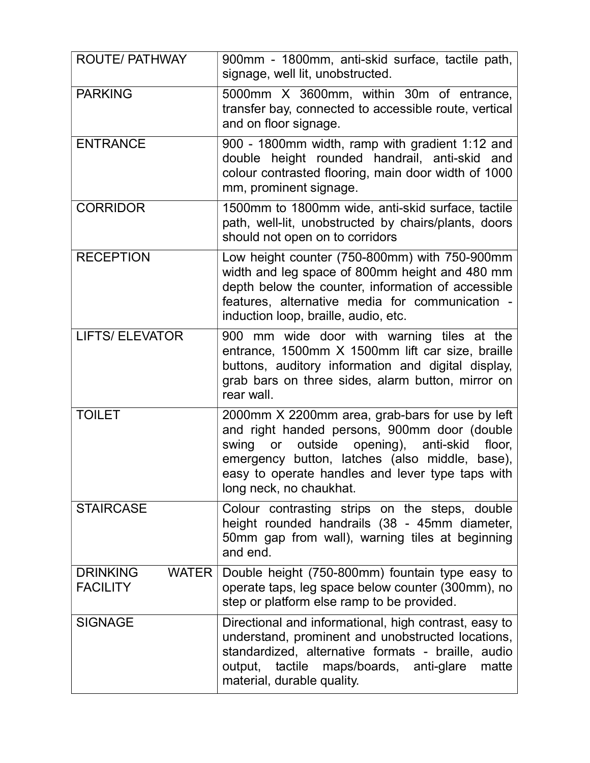| <b>ROUTE/ PATHWAY</b>                              | 900mm - 1800mm, anti-skid surface, tactile path,<br>signage, well lit, unobstructed.                                                                                                                                                                                                                   |
|----------------------------------------------------|--------------------------------------------------------------------------------------------------------------------------------------------------------------------------------------------------------------------------------------------------------------------------------------------------------|
| <b>PARKING</b>                                     | 5000mm X 3600mm, within 30m of entrance,<br>transfer bay, connected to accessible route, vertical<br>and on floor signage.                                                                                                                                                                             |
| <b>ENTRANCE</b>                                    | 900 - 1800mm width, ramp with gradient 1:12 and<br>double height rounded handrail, anti-skid and<br>colour contrasted flooring, main door width of 1000<br>mm, prominent signage.                                                                                                                      |
| <b>CORRIDOR</b>                                    | 1500mm to 1800mm wide, anti-skid surface, tactile<br>path, well-lit, unobstructed by chairs/plants, doors<br>should not open on to corridors                                                                                                                                                           |
| <b>RECEPTION</b>                                   | Low height counter (750-800mm) with 750-900mm<br>width and leg space of 800mm height and 480 mm<br>depth below the counter, information of accessible<br>features, alternative media for communication -<br>induction loop, braille, audio, etc.                                                       |
| <b>LIFTS/ ELEVATOR</b>                             | 900 mm wide door with warning tiles at the<br>entrance, 1500mm X 1500mm lift car size, braille<br>buttons, auditory information and digital display,<br>grab bars on three sides, alarm button, mirror on<br>rear wall.                                                                                |
| <b>TOILET</b>                                      | 2000mm X 2200mm area, grab-bars for use by left<br>and right handed persons, 900mm door (double<br>outside opening),<br>swing<br>anti-skid<br>$\mathsf{or}$<br>floor,<br>emergency button, latches (also middle, base),<br>easy to operate handles and lever type taps with<br>long neck, no chaukhat. |
| <b>STAIRCASE</b>                                   | Colour contrasting strips on the steps, double<br>height rounded handrails (38 - 45mm diameter,<br>50mm gap from wall), warning tiles at beginning<br>and end.                                                                                                                                         |
| <b>DRINKING</b><br><b>WATER</b><br><b>FACILITY</b> | Double height (750-800mm) fountain type easy to<br>operate taps, leg space below counter (300mm), no<br>step or platform else ramp to be provided.                                                                                                                                                     |
| <b>SIGNAGE</b>                                     | Directional and informational, high contrast, easy to<br>understand, prominent and unobstructed locations,<br>standardized, alternative formats - braille, audio<br>output, tactile maps/boards, anti-glare<br>matte<br>material, durable quality.                                                     |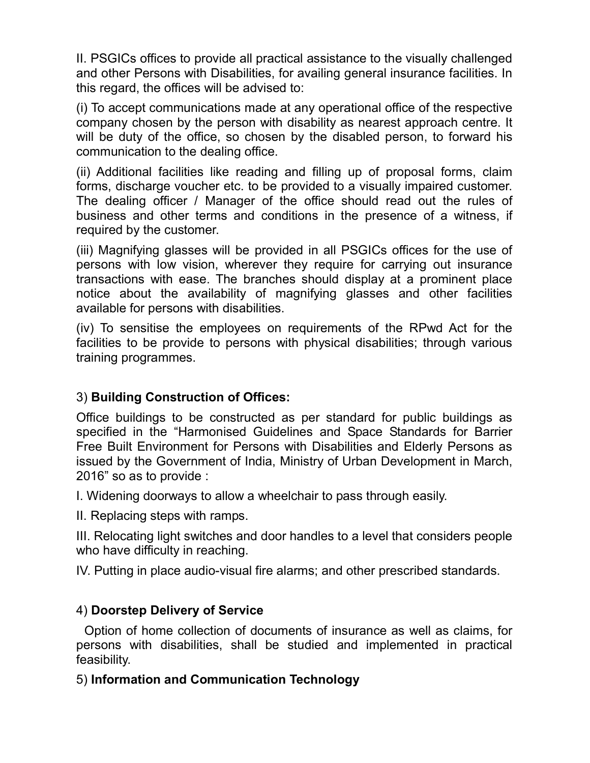II. PSGICs offices to provide all practical assistance to the visually challenged and other Persons with Disabilities, for availing general insurance facilities. In this regard, the offices will be advised to:

(i) To accept communications made at any operational office of the respective company chosen by the person with disability as nearest approach centre. It will be duty of the office, so chosen by the disabled person, to forward his communication to the dealing office.

(ii) Additional facilities like reading and filling up of proposal forms, claim forms, discharge voucher etc. to be provided to a visually impaired customer. The dealing officer / Manager of the office should read out the rules of business and other terms and conditions in the presence of a witness, if required by the customer.

(iii) Magnifying glasses will be provided in all PSGICs offices for the use of persons with low vision, wherever they require for carrying out insurance transactions with ease. The branches should display at a prominent place notice about the availability of magnifying glasses and other facilities available for persons with disabilities.

(iv) To sensitise the employees on requirements of the RPwd Act for the facilities to be provide to persons with physical disabilities; through various training programmes.

# 3) Building Construction of Offices:

Office buildings to be constructed as per standard for public buildings as specified in the "Harmonised Guidelines and Space Standards for Barrier Free Built Environment for Persons with Disabilities and Elderly Persons as issued by the Government of India, Ministry of Urban Development in March, 2016" so as to provide :

I. Widening doorways to allow a wheelchair to pass through easily.

II. Replacing steps with ramps.

III. Relocating light switches and door handles to a level that considers people who have difficulty in reaching.

IV. Putting in place audio-visual fire alarms; and other prescribed standards.

# 4) Doorstep Delivery of Service

 Option of home collection of documents of insurance as well as claims, for persons with disabilities, shall be studied and implemented in practical feasibility.

# 5) Information and Communication Technology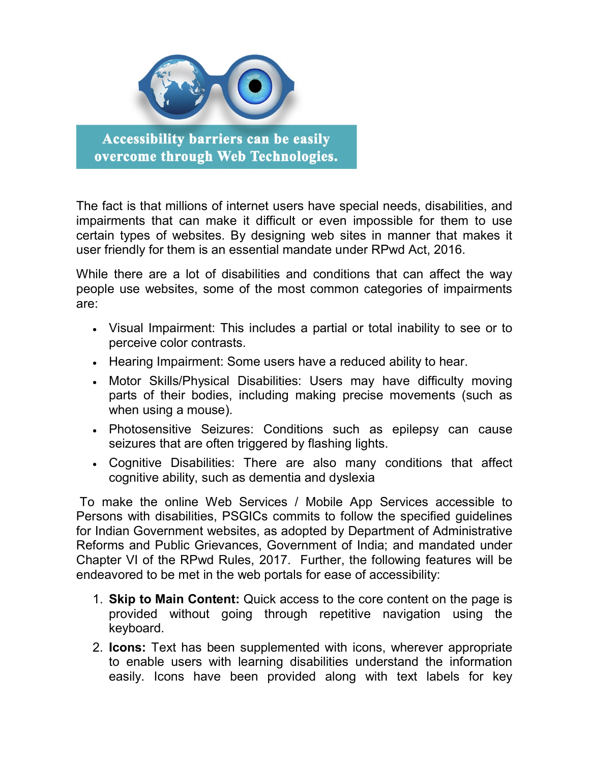

**Accessibility barriers can be easily** overcome through Web Technologies.

The fact is that millions of internet users have special needs, disabilities, and impairments that can make it difficult or even impossible for them to use certain types of websites. By designing web sites in manner that makes it user friendly for them is an essential mandate under RPwd Act, 2016.

While there are a lot of disabilities and conditions that can affect the way people use websites, some of the most common categories of impairments are:

- Visual Impairment: This includes a partial or total inability to see or to perceive color contrasts.
- Hearing Impairment: Some users have a reduced ability to hear.
- Motor Skills/Physical Disabilities: Users may have difficulty moving parts of their bodies, including making precise movements (such as when using a mouse).
- Photosensitive Seizures: Conditions such as epilepsy can cause seizures that are often triggered by flashing lights.
- Cognitive Disabilities: There are also many conditions that affect cognitive ability, such as dementia and dyslexia

 To make the online Web Services / Mobile App Services accessible to Persons with disabilities, PSGICs commits to follow the specified guidelines for Indian Government websites, as adopted by Department of Administrative Reforms and Public Grievances, Government of India; and mandated under Chapter VI of the RPwd Rules, 2017. Further, the following features will be endeavored to be met in the web portals for ease of accessibility:

- 1. Skip to Main Content: Quick access to the core content on the page is provided without going through repetitive navigation using the keyboard.
- 2. Icons: Text has been supplemented with icons, wherever appropriate to enable users with learning disabilities understand the information easily. Icons have been provided along with text labels for key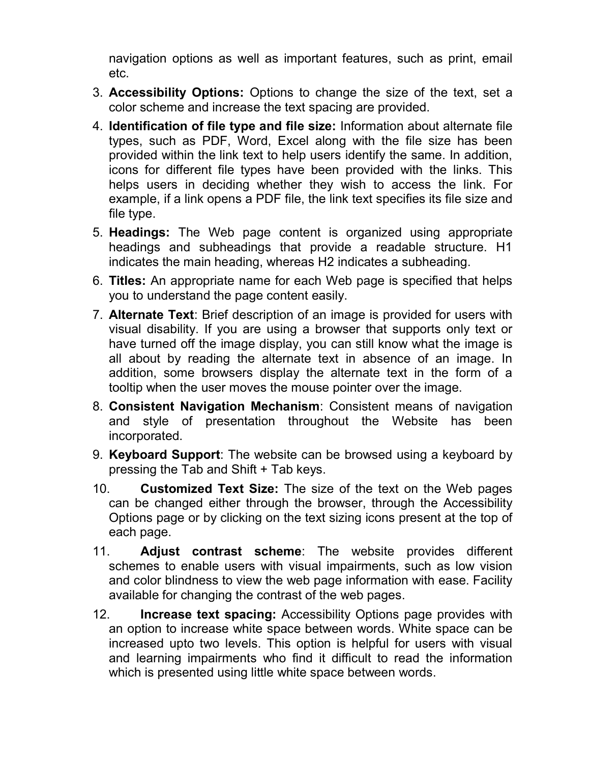navigation options as well as important features, such as print, email etc.

- 3. Accessibility Options: Options to change the size of the text, set a color scheme and increase the text spacing are provided.
- 4. Identification of file type and file size: Information about alternate file types, such as PDF, Word, Excel along with the file size has been provided within the link text to help users identify the same. In addition, icons for different file types have been provided with the links. This helps users in deciding whether they wish to access the link. For example, if a link opens a PDF file, the link text specifies its file size and file type.
- 5. Headings: The Web page content is organized using appropriate headings and subheadings that provide a readable structure. H1 indicates the main heading, whereas H2 indicates a subheading.
- 6. Titles: An appropriate name for each Web page is specified that helps you to understand the page content easily.
- 7. Alternate Text: Brief description of an image is provided for users with visual disability. If you are using a browser that supports only text or have turned off the image display, you can still know what the image is all about by reading the alternate text in absence of an image. In addition, some browsers display the alternate text in the form of a tooltip when the user moves the mouse pointer over the image.
- 8. Consistent Navigation Mechanism: Consistent means of navigation and style of presentation throughout the Website has been incorporated.
- 9. **Keyboard Support**: The website can be browsed using a keyboard by pressing the Tab and Shift + Tab keys.
- 10. Customized Text Size: The size of the text on the Web pages can be changed either through the browser, through the Accessibility Options page or by clicking on the text sizing icons present at the top of each page.
- 11. Adjust contrast scheme: The website provides different schemes to enable users with visual impairments, such as low vision and color blindness to view the web page information with ease. Facility available for changing the contrast of the web pages.
- 12. **Increase text spacing:** Accessibility Options page provides with an option to increase white space between words. White space can be increased upto two levels. This option is helpful for users with visual and learning impairments who find it difficult to read the information which is presented using little white space between words.